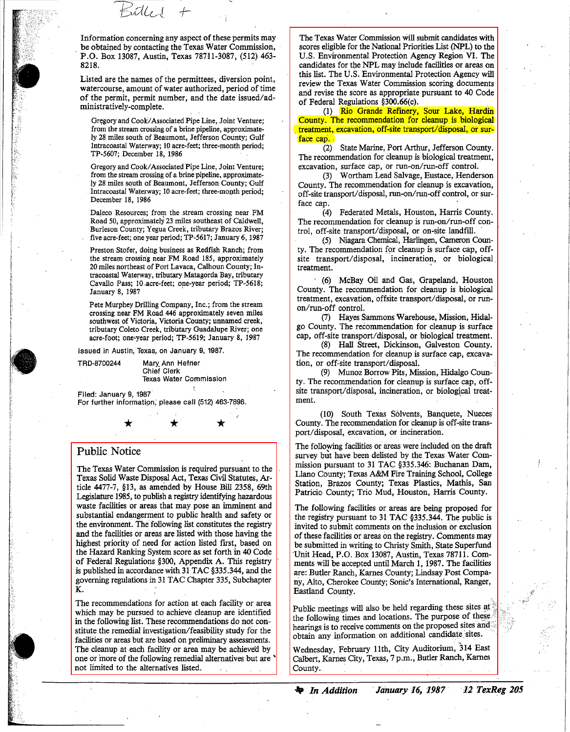Information concerning any aspect of these permits may be obtained by contacting the Texas Water Commission, . P.O. Box 13087, Austin, Texas 78711-3087, (512) 463- 8218.

+-

ridh d

Listed are the names of the permittees, diversion point, watercourse, amount of water authorized, period of time of the permit, permit number, and the date issued/administratively-complete.

Gregory and Cook/Associated Pipe Line, Joint Venture; from the stream crossing of a brine pipeline, approximately 28 miles south of Beaumont, Jefferson County; Gulf Intracoastal Waterway; 10 acre-feet; three-month period; TP-5607; December 18, 1986 .

Gregory and Cook/Associated Pipe Line, Joint Venture; from the stream crossing of a brine pipeline, approximate- !y 28 miles south of Beaumont, Jefferson County; Gulf Intracoastal Waterway; 10 acre-feet; three-month period; December 18, 1986

Daleco Resources; from the stream crossing near FM Road 50, approximately 23 miles southeast of Caldwell, Burleson County; Yegua Creek, tributary Brazos River; five acre-feet; one year period; TP-5617; January 6, 1987

Preston Stofer, doing business as Redfish Ranch; from the stream crossing near FM Road 185, approximately 20 miles northeast of Port Lavaca, Calhoun County; Intracoastal Waterway, tributary Matagorda Bay, tributary Cavallo Pass; 10.acre-feet; one-year period; TP-5618; January 8, 1987

Pete Murphey Drilling Company, Inc.; from the stream crossing near FM Road 446 approximately seven miles southwest of Victoria, Victoria County; unnamed creek, tributary Coleto Creek, tributary Guadalupe River; one acre-foot; one-year period; TP-5619; January 8, 1987

Issued in Austin, Texas, on January 9, 1987.

Mary Ann Hefrier Chief Clerk Texas Water Commission

Filed: January 9, 1987 For further informatipn; please call (512) 463·7898.

\* \* \*

## **Public** Notice

TRD·8700244

The Texas Water Commission is required pursuant to the Texas Solid Waste Disposal Act, Texas Civil Statutes, Article 4477-7,  $§13$ , as amended by House Bill 2358, 69th Legislature 1985, to publish a registry identifying hazardous waste facilities or areas that may pose an imminent and substantial endangerment to public health and safety or the environment. The following list constitutes the registry and the facilities or areas are listed with those having the highest priority of need for action listed first, based on the Hazard Ranking System score as set forth in 40 Code of Federal Regulations §300, Appendix A. This registry is published in accordance with 31 TAC §335.344, and the governing regulations in 31 TAC Chapter 335, Subchapter K.

The recommendations for action at each facility or area which may be pursued to achieve cleanup are identified in the following list. These recommendations do not constitute the remedial investigation/feasibility study for the facilities or areas but are based on preliminary assessments. The cleanup at each facility or area may be achieved by one or more of the following remedial alternatives but are ' not limited to the alternatives listed.

The Texas Water Commission Will submit candidates with scores eligible for the National Priorities List (NPL) to the U.S. Environmental Protection Agency Region VI. The candidates for the NPL may include facilities or areas on this list. The U.S. Environmental Protection Agency will review the Texas Water Commission scoring documents and revise the score as appropriate pursuant to 40 Code of Federal Regulations §300.66(c).

(1) Rio Grande Refmery, Sour Lake, Hardin County. The recommendation for cleanup is biological . treatment, excavation, off-site transport/disposal, or surface cap..

(2) State Marine, Port Arthur, Jefferson County. The recommendation for cleanup is biological treatment, excavation, surface cap, or run-on/run-off control.

(3) Wortham Lead Salvage, Eustace, Henderson County. The recommendation for cleanup is excavation, off-site transport/disposal, run-on/run-off control, or surface cap.

(4) Federated Metals, Houston, Harris County. The recommendation for cleanup is run-on/run-off control, off-site transport/disposal, or on-site landfill..

(5) Niagara Chemical, Harlingen, Cameron County. The recommendation for cleanup is surface cap, offsite transport/disposal, incineration, or biological treatment. '

. (6) McBay Oil and Gas, Grapeland, Houston County. The recommendation for cleanup is biological treatment, excavation, offsite transport/disposal, or runon/run~off control. .

(7) Hayes Sammons Warehouse, Mission, Hidalgo County. The recommendation for cleanup is surface cap, off-site transport/disposal, or biological treatment.

(8) Hall Street, Dickinson, Galveston County. The recommendation for cleanup is surface cap, excavation, or off~site transport/disposal.

(9) Munoz Borrow Pits, Mission, Hidalgo County. The recommendation for cleanup is surface cap, offsite transport/disposal, incineration, or biological treatment.

(10) South Texas Solvents, Banquete, Nueces County. The recommendation for cleanup is off-site transport/disposal, excavation, or incineration.

The following facilities or areas were included on the draft survey but have been delisted by the Texas Water Commission pursuant to 31 TAC §335.346: Buchanan Dam, Llano County; Texas A&M Fire Training School, College Station, Brazos County; Texas Plastics, Mathis, San Patricio County; Trio Mud, Houston, Harris County.

The following facilities or areas are being proposed for the registry pursuant to 31 TAC §335.344. The public is invited to submit comments on the inclusion or exclusion of these facilities or areas on the registry. Comments may be submitted in writing to Christy Smith, State Superfund 'Unit Head, P.O. Box 13087, Austin, Texas 78711. Comments will be accepted until March 1, 1987. The facilities are: Butler Ranch, Karnes County; Lindsay Post Company, Alto, Cherokee County; Sonic's International, Ranger, Eastland County.

Public meetings will also be held regarding these sites at the following times and locations. The purpose of these. **hearings** is to receive comments on the proposed sites and: obtain any information on additional candidate sites.

Wednesday, February 11th, City Auditorium, 314 East Calbert, Karnes City, Texas, 7 p.m., Butler Ranch, Karnes County. .

**.....** *In Addition .January* **16, 1981** *'12 TexReg 205*